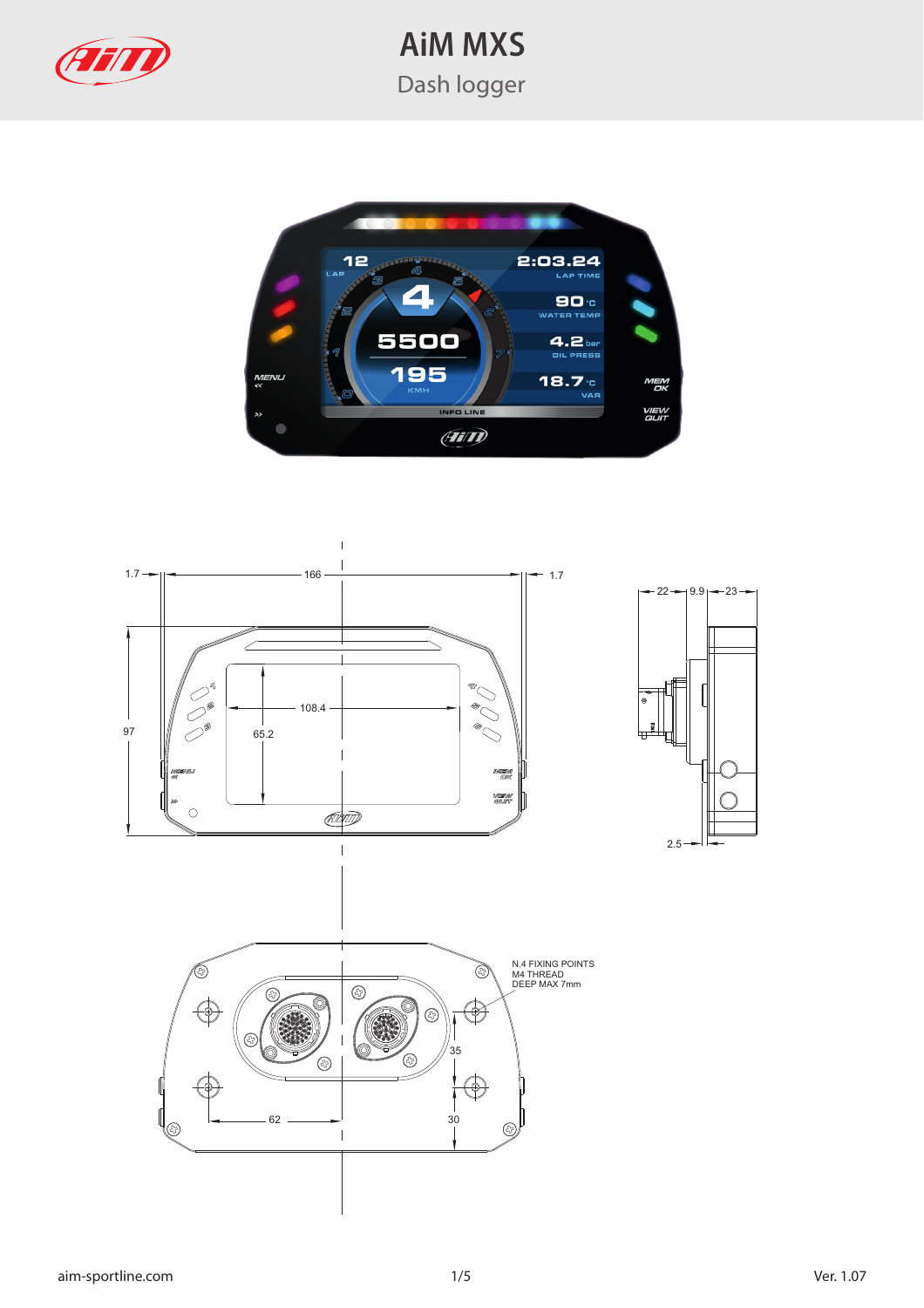



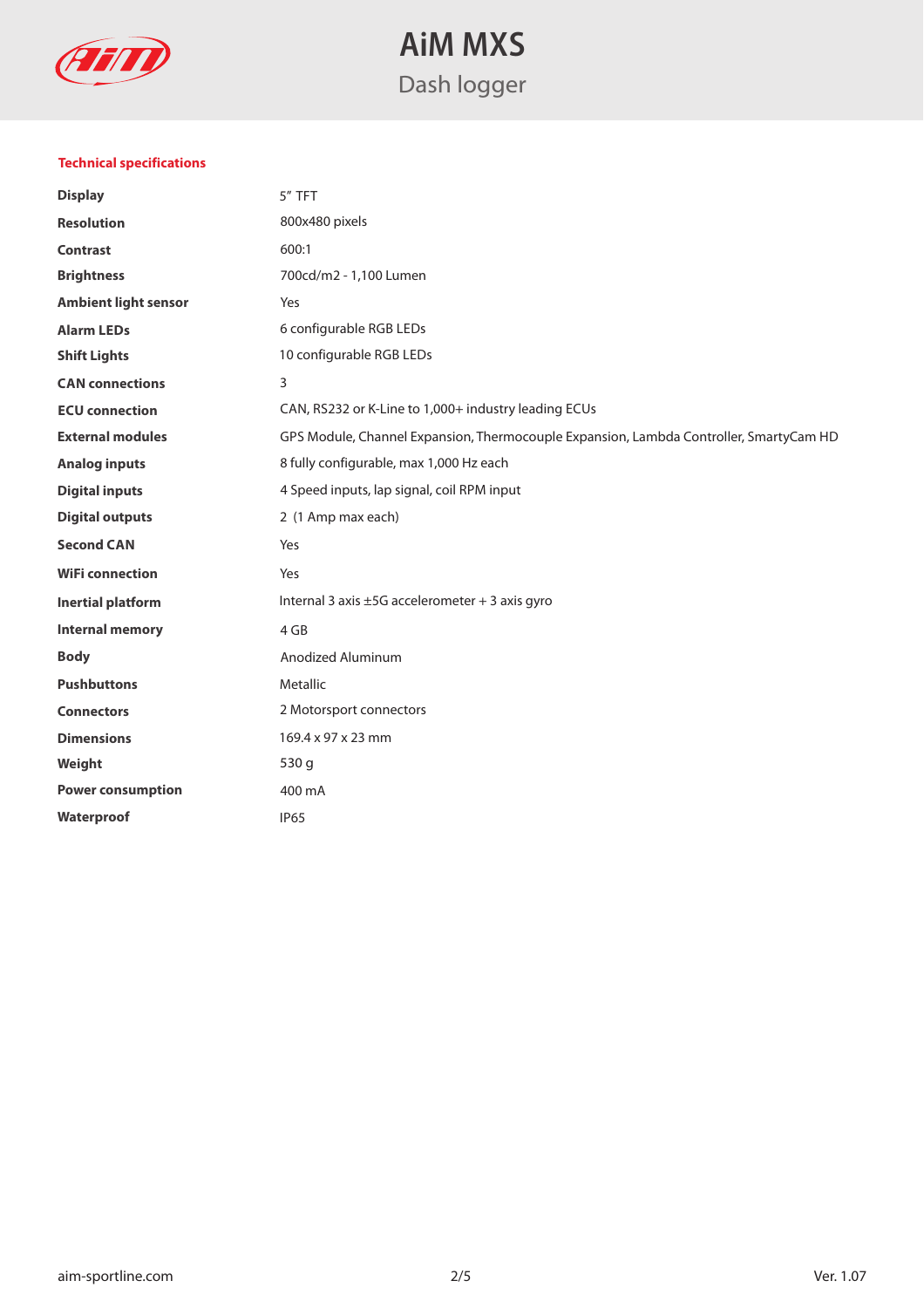

#### **Technical specifications**

| <b>Display</b>              | 5" TFT                                                                                 |  |
|-----------------------------|----------------------------------------------------------------------------------------|--|
| <b>Resolution</b>           | 800x480 pixels                                                                         |  |
| <b>Contrast</b>             | 600:1                                                                                  |  |
| <b>Brightness</b>           | 700cd/m2 - 1,100 Lumen                                                                 |  |
| <b>Ambient light sensor</b> | Yes                                                                                    |  |
| <b>Alarm LEDs</b>           | 6 configurable RGB LEDs                                                                |  |
| <b>Shift Lights</b>         | 10 configurable RGB LEDs                                                               |  |
| <b>CAN</b> connections      | 3                                                                                      |  |
| <b>ECU</b> connection       | CAN, RS232 or K-Line to 1,000+ industry leading ECUs                                   |  |
| <b>External modules</b>     | GPS Module, Channel Expansion, Thermocouple Expansion, Lambda Controller, SmartyCam HD |  |
| <b>Analog inputs</b>        | 8 fully configurable, max 1,000 Hz each                                                |  |
| <b>Digital inputs</b>       | 4 Speed inputs, lap signal, coil RPM input                                             |  |
| <b>Digital outputs</b>      | 2 (1 Amp max each)                                                                     |  |
| <b>Second CAN</b>           | Yes                                                                                    |  |
| <b>WiFi connection</b>      | Yes                                                                                    |  |
| <b>Inertial platform</b>    | Internal 3 axis ±5G accelerometer + 3 axis gyro                                        |  |
| <b>Internal memory</b>      | 4 GB                                                                                   |  |
| <b>Body</b>                 | Anodized Aluminum                                                                      |  |
| <b>Pushbuttons</b>          | Metallic                                                                               |  |
| <b>Connectors</b>           | 2 Motorsport connectors                                                                |  |
| <b>Dimensions</b>           | 169.4 x 97 x 23 mm                                                                     |  |
| Weight                      | 530 g                                                                                  |  |
| <b>Power consumption</b>    | 400 mA                                                                                 |  |
| Waterproof                  | <b>IP65</b>                                                                            |  |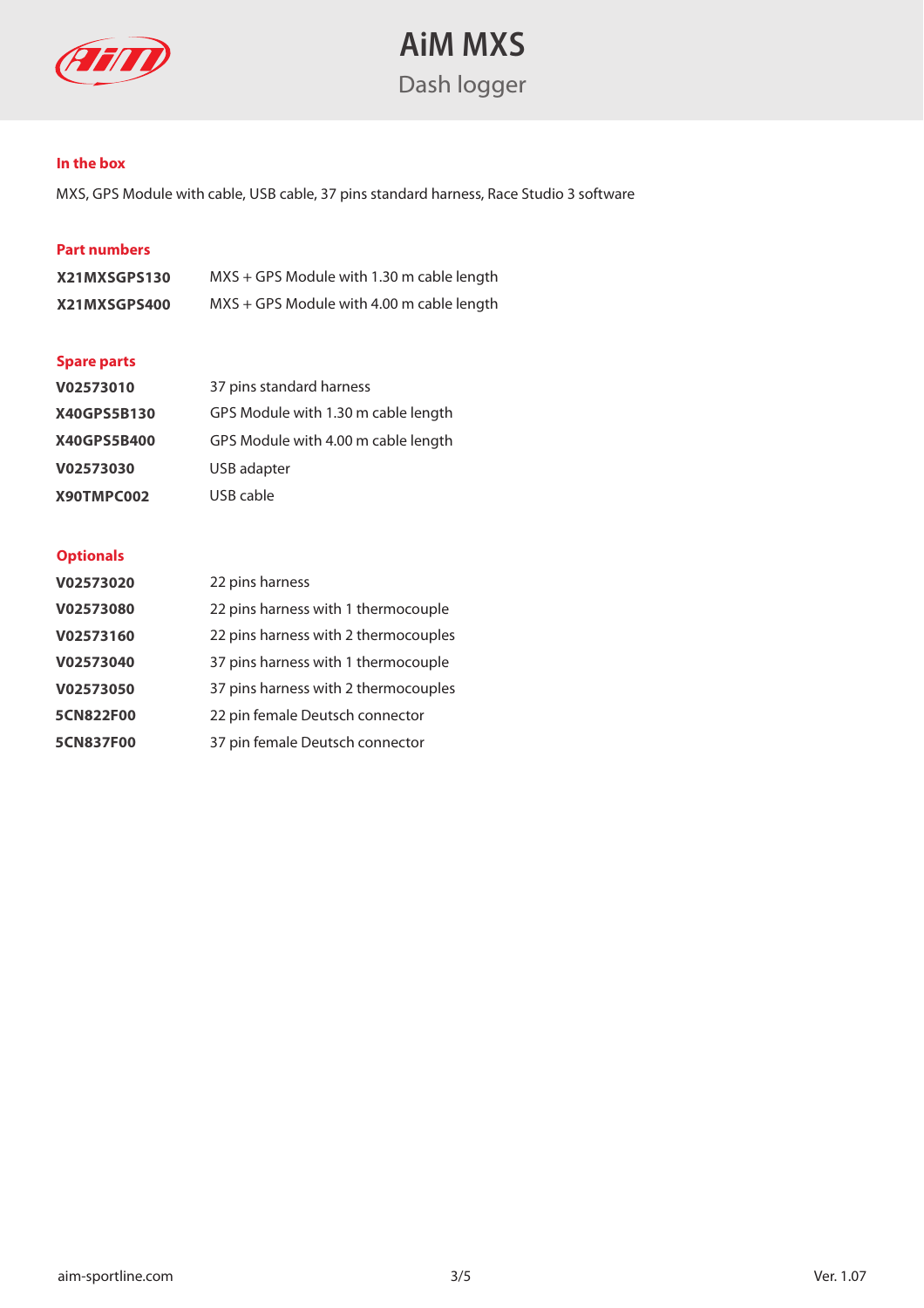

#### **In the box**

MXS, GPS Module with cable, USB cable, 37 pins standard harness, Race Studio 3 software

#### **Part numbers**

| X21MXSGPS130 | $MXS + GPS$ Module with 1.30 m cable length |
|--------------|---------------------------------------------|
| X21MXSGPS400 | $MXS + GPS$ Module with 4.00 m cable length |

#### **Spare parts**

| V02573010   | 37 pins standard harness            |
|-------------|-------------------------------------|
| X40GPS5B130 | GPS Module with 1.30 m cable length |
| X40GPS5B400 | GPS Module with 4.00 m cable length |
| V02573030   | USB adapter                         |
| X90TMPC002  | USB cable                           |

#### **Optionals**

| V02573020        | 22 pins harness                      |
|------------------|--------------------------------------|
| V02573080        | 22 pins harness with 1 thermocouple  |
| V02573160        | 22 pins harness with 2 thermocouples |
| V02573040        | 37 pins harness with 1 thermocouple  |
| V02573050        | 37 pins harness with 2 thermocouples |
| 5CN822F00        | 22 pin female Deutsch connector      |
| <b>5CN837F00</b> | 37 pin female Deutsch connector      |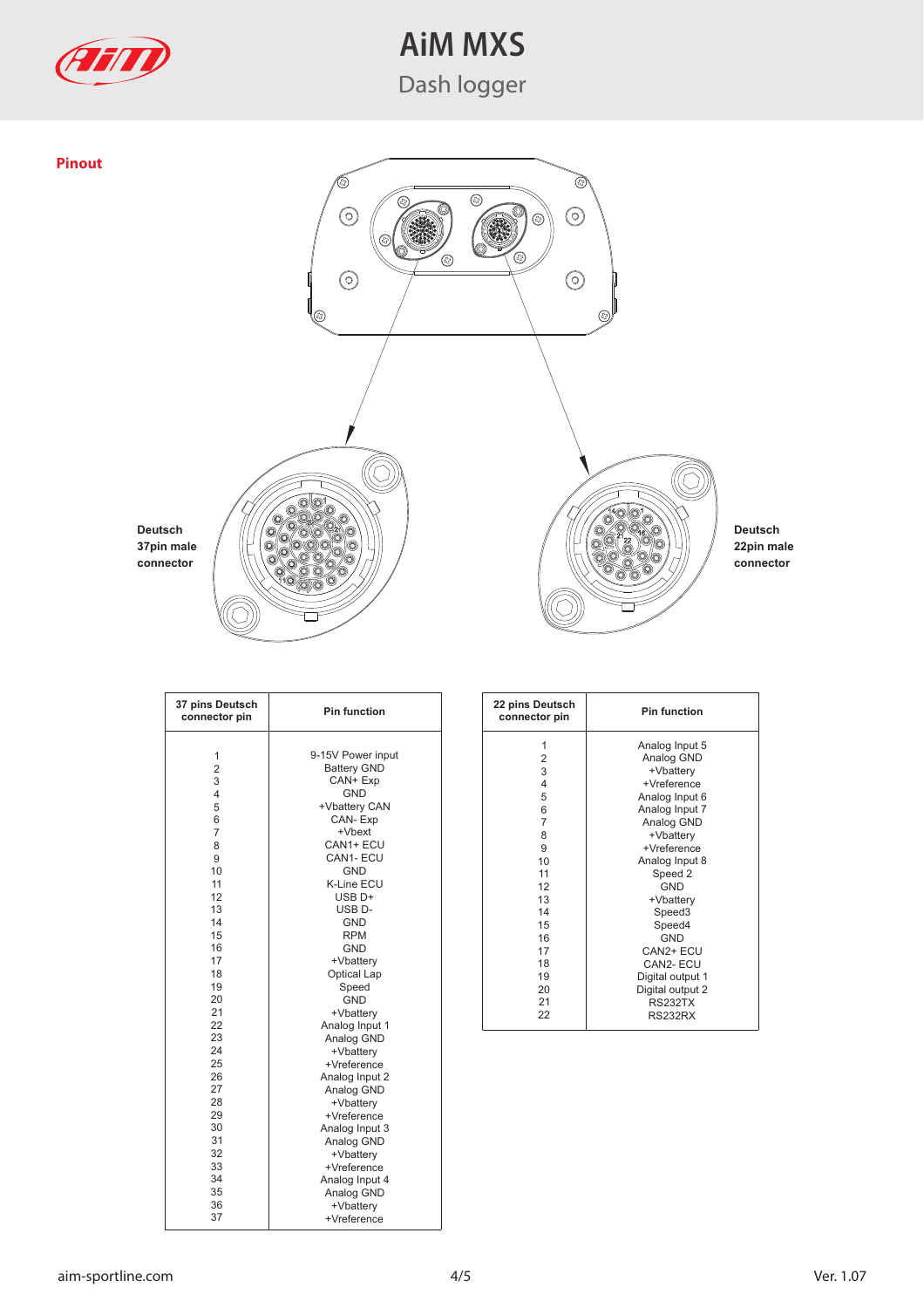



**37 pins Deutsch connector pin** 1 2 3 4 5 6 7 8  $\frac{6}{9}$ 10 11 12 13 14 15 16 17 18 19 20 21 22 23 24 25 26 27 28 29 30 31 32 33 34 35 36 37 9-15V Power input Battery GND CAN+ Exp GND +Vbattery CAN CAN- Exp +Vbext CAN1+ ECU CAN1- ECU GND K-Line ECU USB D+ USB D-GND RPM GND +Vbattery Optical Lap Speed GND +Vbattery Analog Input 1 Analog GND +Vbattery +Vreference Analog Input 2 Analog GND +Vbattery +Vreference Analog Input 3 Analog GND +Vbattery +Vreference Analog Input 4 Analog GND +Vbattery +Vreference **Pin function** 

| 22 pins Deutsch<br>connector pin | <b>Pin function</b> |  |  |
|----------------------------------|---------------------|--|--|
| 1                                | Analog Input 5      |  |  |
| 2                                | Analog GND          |  |  |
| 3                                | +Vbattery           |  |  |
| $\overline{4}$                   | +Vreference         |  |  |
| 5                                | Analog Input 6      |  |  |
| 6                                | Analog Input 7      |  |  |
| 7                                | Analog GND          |  |  |
| 8                                | +Vbattery           |  |  |
| 9                                | +Vreference         |  |  |
| 10                               | Analog Input 8      |  |  |
| 11                               | Speed 2             |  |  |
| 12                               | <b>GND</b>          |  |  |
| 13                               | +Vbattery           |  |  |
| 14                               | Speed <sub>3</sub>  |  |  |
| 15                               | Speed4              |  |  |
| 16                               | GND                 |  |  |
| 17                               | CAN2+ ECU           |  |  |
| 18                               | CAN2-ECU            |  |  |
| 19                               | Digital output 1    |  |  |
| 20                               | Digital output 2    |  |  |
| 21                               | <b>RS232TX</b>      |  |  |
| 22                               | <b>RS232RX</b>      |  |  |